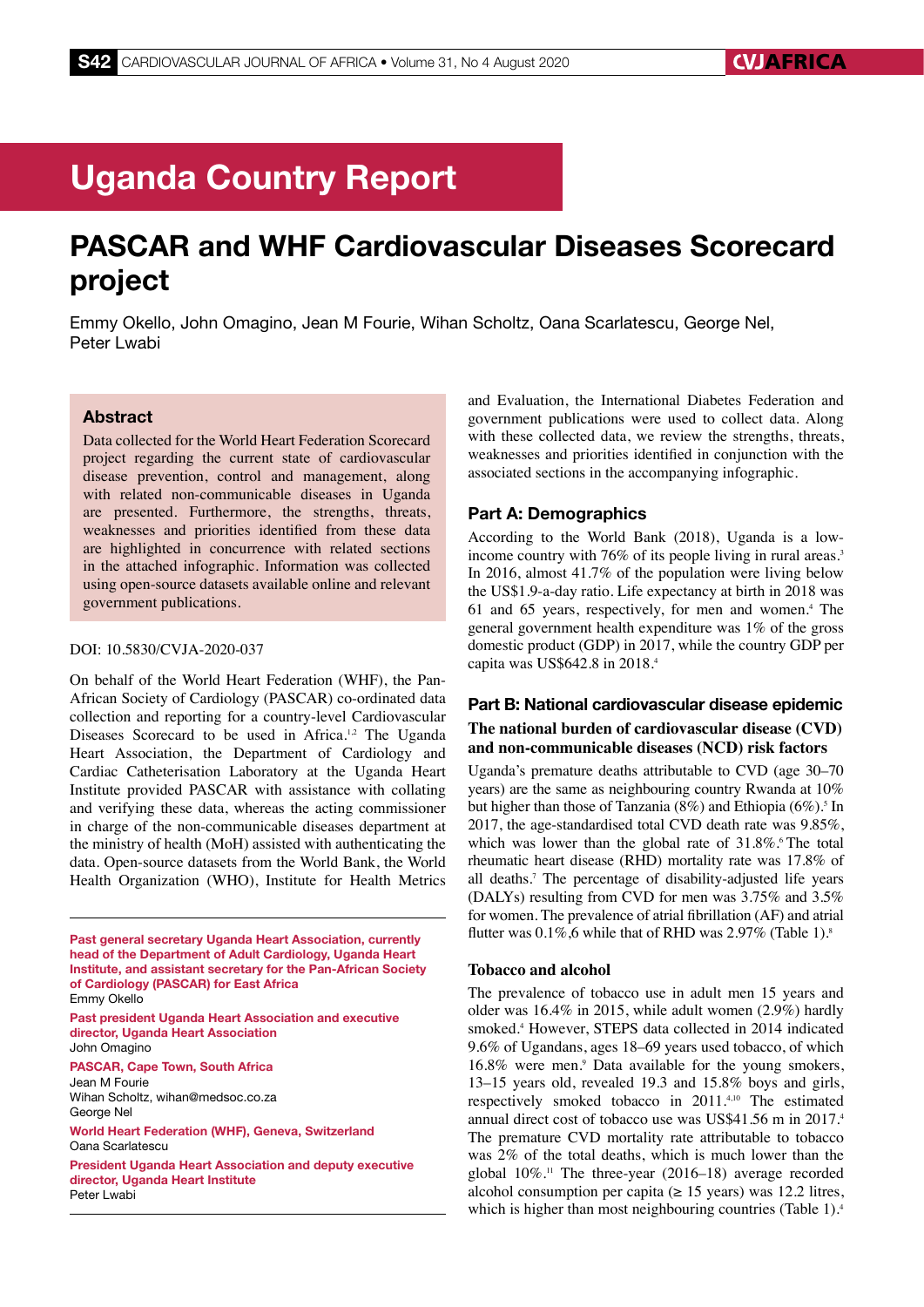# Uganda Country Report

## PASCAR and WHF Cardiovascular Diseases Scorecard project

Emmy Okello, John Omagino, Jean M Fourie, Wihan Scholtz, Oana Scarlatescu, George Nel, Peter Lwabi

## Abstract

Data collected for the World Heart Federation Scorecard project regarding the current state of cardiovascular disease prevention, control and management, along with related non-communicable diseases in Uganda are presented. Furthermore, the strengths, threats, weaknesses and priorities identified from these data are highlighted in concurrence with related sections in the attached infographic. Information was collected using open-source datasets available online and relevant government publications.

#### DOI: 10.5830/CVJA-2020-037

On behalf of the World Heart Federation (WHF), the Pan-African Society of Cardiology (PASCAR) co-ordinated data collection and reporting for a country-level Cardiovascular Diseases Scorecard to be used in Africa.<sup>1,2</sup> The Uganda Heart Association, the Department of Cardiology and Cardiac Catheterisation Laboratory at the Uganda Heart Institute provided PASCAR with assistance with collating and verifying these data, whereas the acting commissioner in charge of the non-communicable diseases department at the ministry of health (MoH) assisted with authenticating the data. Open-source datasets from the World Bank, the World Health Organization (WHO), Institute for Health Metrics

Past general secretary Uganda Heart Association, currently head of the Department of Adult Cardiology, Uganda Heart Institute, and assistant secretary for the Pan-African Society of Cardiology (PASCAR) for East Africa Emmy Okello

Past president Uganda Heart Association and executive director, Uganda Heart Association John Omagino

PASCAR, Cape Town, South Africa Jean M Fourie Wihan Scholtz, wihan@medsoc.co.za George Nel

World Heart Federation (WHF), Geneva, Switzerland Oana Scarlatescu

President Uganda Heart Association and deputy executive director, Uganda Heart Institute Peter Lwabi

and Evaluation, the International Diabetes Federation and government publications were used to collect data. Along with these collected data, we review the strengths, threats, weaknesses and priorities identified in conjunction with the associated sections in the accompanying infographic.

#### Part A: Demographics

According to the World Bank (2018), Uganda is a lowincome country with 76% of its people living in rural areas.<sup>3</sup> In 2016, almost 41.7% of the population were living below the US\$1.9-a-day ratio. Life expectancy at birth in 2018 was 61 and 65 years, respectively, for men and women.4 The general government health expenditure was 1% of the gross domestic product (GDP) in 2017, while the country GDP per capita was US\$642.8 in 2018.4

## Part B: National cardiovascular disease epidemic **The national burden of cardiovascular disease (CVD) and non-communicable diseases (NCD) risk factors**

Uganda's premature deaths attributable to CVD (age 30–70 years) are the same as neighbouring country Rwanda at 10% but higher than those of Tanzania  $(8\%)$  and Ethiopia  $(6\%)$ <sup>5</sup> In 2017, the age-standardised total CVD death rate was 9.85%, which was lower than the global rate of  $31.8\%$ . The total rheumatic heart disease (RHD) mortality rate was 17.8% of all deaths.7 The percentage of disability-adjusted life years (DALYs) resulting from CVD for men was 3.75% and 3.5% for women. The prevalence of atrial fibrillation (AF) and atrial flutter was  $0.1\%$ , 6 while that of RHD was  $2.97\%$  (Table 1).<sup>8</sup>

#### **Tobacco and alcohol**

The prevalence of tobacco use in adult men 15 years and older was 16.4% in 2015, while adult women (2.9%) hardly smoked.<sup>4</sup> However, STEPS data collected in 2014 indicated 9.6% of Ugandans, ages 18–69 years used tobacco, of which 16.8% were men.9 Data available for the young smokers, 13–15 years old, revealed 19.3 and 15.8% boys and girls, respectively smoked tobacco in 2011.4,10 The estimated annual direct cost of tobacco use was US\$41.56 m in 2017.<sup>4</sup> The premature CVD mortality rate attributable to tobacco was 2% of the total deaths, which is much lower than the global  $10\%$ .<sup>11</sup> The three-year (2016–18) average recorded alcohol consumption per capita ( $\geq$  15 years) was 12.2 litres, which is higher than most neighbouring countries (Table 1).<sup>4</sup>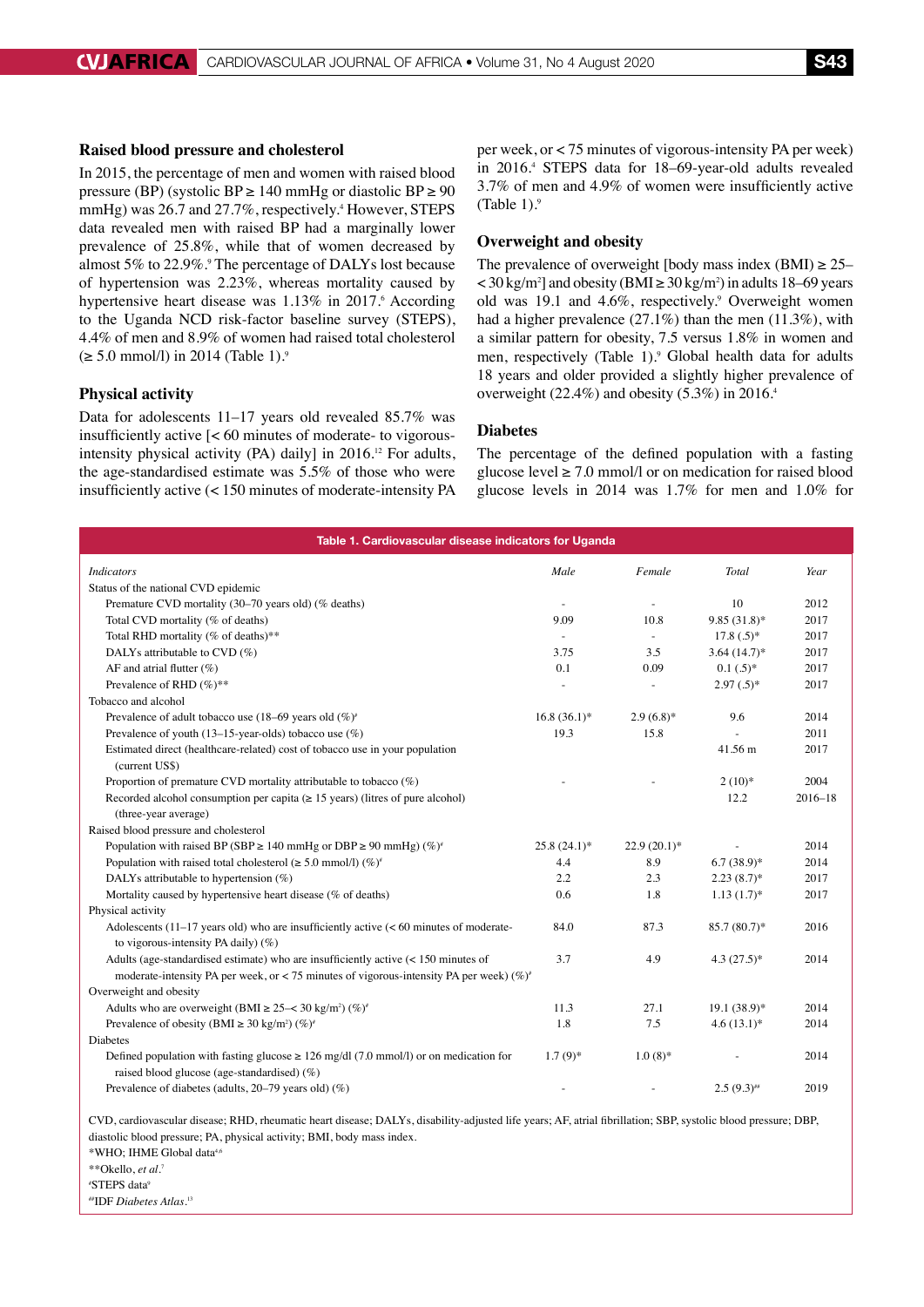## **Raised blood pressure and cholesterol**

In 2015, the percentage of men and women with raised blood pressure (BP) (systolic BP  $\geq$  140 mmHg or diastolic BP  $\geq$  90 mmHg) was 26.7 and 27.7%, respectively.<sup>4</sup> However, STEPS data revealed men with raised BP had a marginally lower prevalence of 25.8%, while that of women decreased by almost 5% to 22.9%.<sup>9</sup> The percentage of DALYs lost because of hypertension was 2.23%, whereas mortality caused by hypertensive heart disease was 1.13% in 2017.<sup>6</sup> According to the Uganda NCD risk-factor baseline survey (STEPS), 4.4% of men and 8.9% of women had raised total cholesterol  $(≥ 5.0$  mmol/l) in 2014 (Table 1).<sup>9</sup>

## **Physical activity**

Tol

Data for adolescents 11–17 years old revealed 85.7% was insufficiently active [< 60 minutes of moderate- to vigorousintensity physical activity (PA) daily] in  $2016$ .<sup>12</sup> For adults, the age-standardised estimate was 5.5% of those who were insufficiently active (< 150 minutes of moderate-intensity PA

per week, or < 75 minutes of vigorous-intensity PA per week) in 2016.4 STEPS data for 18–69-year-old adults revealed 3.7% of men and 4.9% of women were insufficiently active (Table 1). $9$ 

#### **Overweight and obesity**

The prevalence of overweight [body mass index (BMI)  $\geq$  25–  $<$  30 kg/m<sup>2</sup>] and obesity (BMI  $\geq$  30 kg/m<sup>2</sup>) in adults 18–69 years old was 19.1 and 4.6%, respectively.<sup>9</sup> Overweight women had a higher prevalence (27.1%) than the men (11.3%), with a similar pattern for obesity, 7.5 versus 1.8% in women and men, respectively (Table 1).<sup>9</sup> Global health data for adults 18 years and older provided a slightly higher prevalence of overweight (22.4%) and obesity (5.3%) in 2016.4

#### **Diabetes**

The percentage of the defined population with a fasting glucose level  $\geq 7.0$  mmol/l or on medication for raised blood glucose levels in 2014 was 1.7% for men and 1.0% for

| Table 1. Cardiovascular disease indicators for Uganda                                          |                |                          |                |             |  |  |
|------------------------------------------------------------------------------------------------|----------------|--------------------------|----------------|-------------|--|--|
| <i>Indicators</i>                                                                              | Male           | Female                   | Total          | Year        |  |  |
| Status of the national CVD epidemic                                                            |                |                          |                |             |  |  |
| Premature CVD mortality (30–70 years old) (% deaths)                                           |                |                          | 10             | 2012        |  |  |
| Total CVD mortality (% of deaths)                                                              | 9.09           | 10.8                     | $9.85(31.8)$ * | 2017        |  |  |
| Total RHD mortality (% of deaths)**                                                            |                |                          | $17.8(.5)^*$   | 2017        |  |  |
| DALYs attributable to CVD $(\%)$                                                               | 3.75           | 3.5                      | $3.64(14.7)^*$ | 2017        |  |  |
| AF and atrial flutter $(\%)$                                                                   | 0.1            | 0.09                     | $0.1(.5)^*$    | 2017        |  |  |
| Prevalence of RHD $(\%)^{**}$                                                                  | ٠              | $\overline{\phantom{a}}$ | $2.97(.5)^*$   | 2017        |  |  |
| Tobacco and alcohol                                                                            |                |                          |                |             |  |  |
| Prevalence of adult tobacco use (18–69 years old $(\%)^*$                                      | $16.8(36.1)^*$ | $2.9(6.8)$ *             | 9.6            | 2014        |  |  |
| Prevalence of youth (13–15-year-olds) tobacco use $(\%)$                                       | 19.3           | 15.8                     |                | 2011        |  |  |
| Estimated direct (healthcare-related) cost of tobacco use in your population<br>(current US\$) |                |                          | 41.56 m        | 2017        |  |  |
| Proportion of premature CVD mortality attributable to tobacco $(\%)$                           |                |                          | $2(10)*$       | 2004        |  |  |
| Recorded alcohol consumption per capita ( $\geq$ 15 years) (litres of pure alcohol)            |                |                          | 12.2           | $2016 - 18$ |  |  |

| (three-year average)                                                                                                                         |                |                |                 |      |
|----------------------------------------------------------------------------------------------------------------------------------------------|----------------|----------------|-----------------|------|
| Raised blood pressure and cholesterol                                                                                                        |                |                |                 |      |
| Population with raised BP (SBP $\geq$ 140 mmHg or DBP $\geq$ 90 mmHg) (%) <sup>*</sup>                                                       | $25.8(24.1)$ * | $22.9(20.1)^*$ | $\sim$          | 2014 |
| Population with raised total cholesterol ( $\geq 5.0$ mmol/l) (%) <sup>*</sup>                                                               | 4.4            | 8.9            | $6.7(38.9)*$    | 2014 |
| DALYs attributable to hypertension $(\%)$                                                                                                    | 2.2            | 2.3            | $2.23(8.7)^{*}$ | 2017 |
| Mortality caused by hypertensive heart disease $(\%$ of deaths)                                                                              | 0.6            | 1.8            | $1.13(1.7)^*$   | 2017 |
| Physical activity                                                                                                                            |                |                |                 |      |
| Adolescents $(11-17 \text{ years})$ old) who are insufficiently active $(< 60 \text{ minutes})$ of moderate-                                 | 84.0           | 87.3           | $85.7(80.7)^*$  | 2016 |
| to vigorous-intensity PA daily) $(\%)$                                                                                                       |                |                |                 |      |
| Adults (age-standardised estimate) who are insufficiently active $(< 150$ minutes of                                                         | 3.7            | 4.9            | $4.3(27.5)^*$   | 2014 |
| moderate-intensity PA per week, or < 75 minutes of vigorous-intensity PA per week) (%)*                                                      |                |                |                 |      |
| Overweight and obesity                                                                                                                       |                |                |                 |      |
| Adults who are overweight (BMI $\geq$ 25– $\lt$ 30 kg/m <sup>2</sup> ) (%) <sup>*</sup>                                                      | 11.3           | 27.1           | $19.1(38.9)*$   | 2014 |
| Prevalence of obesity (BMI $\geq 30 \text{ kg/m}^2$ ) (%) <sup>*</sup>                                                                       | 1.8            | 7.5            | $4.6(13.1)$ *   | 2014 |
| Diabetes                                                                                                                                     |                |                |                 |      |
| Defined population with fasting glucose $\geq 126$ mg/dl (7.0 mmol/l) or on medication for<br>raised blood glucose (age-standardised) $(\%)$ | $1.7(9)*$      | $1.0(8)*$      |                 | 2014 |
| Prevalence of diabetes (adults, $20-79$ years old) (%)                                                                                       |                |                | $2.5(9.3)$ #    | 2019 |

CVD, cardiovascular disease; RHD, rheumatic heart disease; DALYs, disability-adjusted life years; AF, atrial fibrillation; SBP, systolic blood pressure; DBP, diastolic blood pressure; PA, physical activity; BMI, body mass index. \*WHO; IHME Global data4,6

\*\*Okello, *et al.*<sup>7</sup>

# STEPS data9

##IDF *Diabetes Atlas*. 13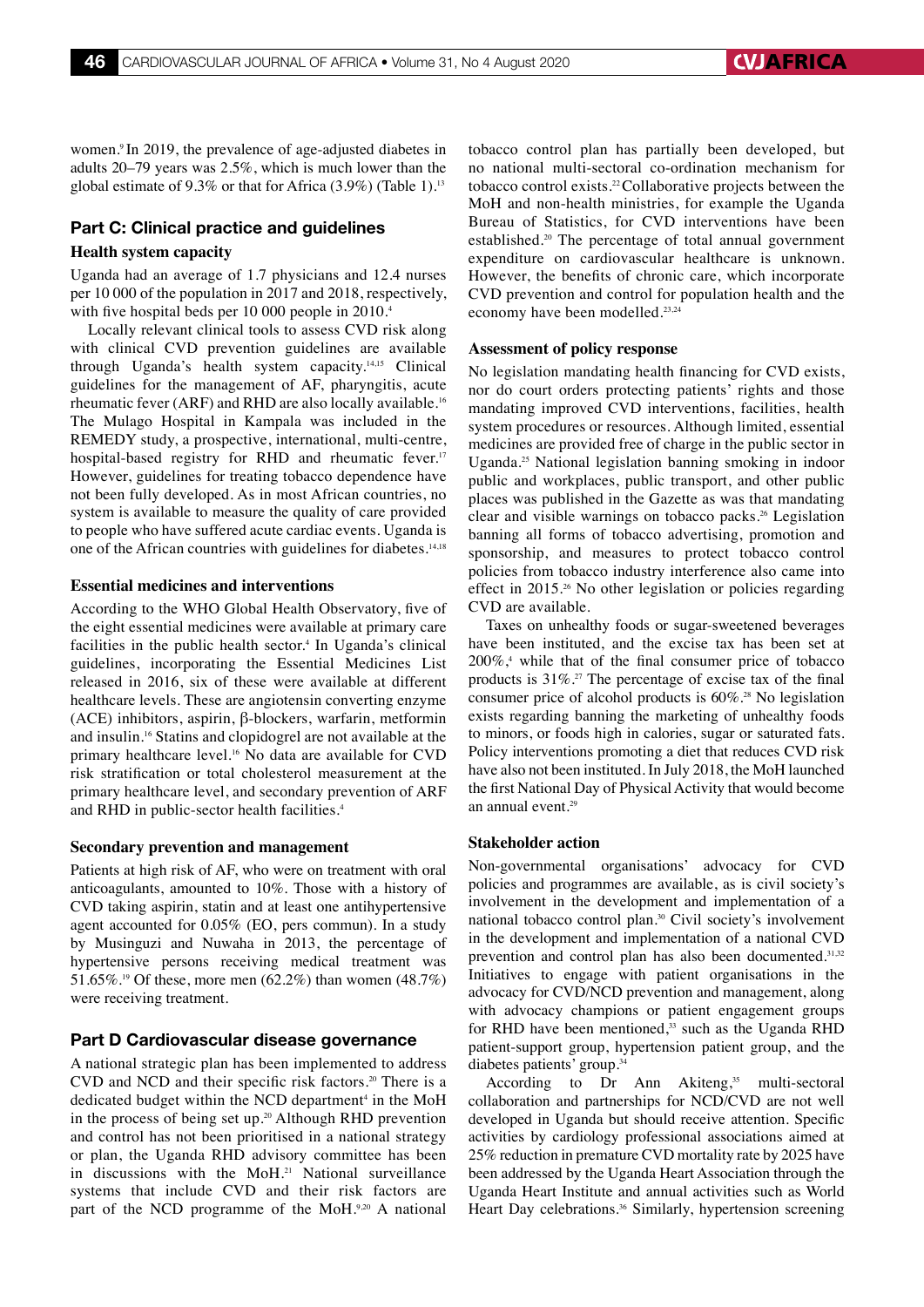women.9 In 2019, the prevalence of age-adjusted diabetes in adults 20–79 years was 2.5%, which is much lower than the global estimate of 9.3% or that for Africa  $(3.9\%)$  (Table 1).<sup>13</sup>

## Part C: Clinical practice and guidelines

#### **Health system capacity**

Uganda had an average of 1.7 physicians and 12.4 nurses per 10 000 of the population in 2017 and 2018, respectively, with five hospital beds per 10 000 people in 2010.<sup>4</sup>

Locally relevant clinical tools to assess CVD risk along with clinical CVD prevention guidelines are available through Uganda's health system capacity.14,15 Clinical guidelines for the management of AF, pharyngitis, acute rheumatic fever (ARF) and RHD are also locally available.16 The Mulago Hospital in Kampala was included in the REMEDY study, a prospective, international, multi-centre, hospital-based registry for RHD and rheumatic fever.<sup>17</sup> However, guidelines for treating tobacco dependence have not been fully developed. As in most African countries, no system is available to measure the quality of care provided to people who have suffered acute cardiac events. Uganda is one of the African countries with guidelines for diabetes.<sup>14,18</sup>

#### **Essential medicines and interventions**

According to the WHO Global Health Observatory, five of the eight essential medicines were available at primary care facilities in the public health sector.<sup>4</sup> In Uganda's clinical guidelines, incorporating the Essential Medicines List released in 2016, six of these were available at different healthcare levels. These are angiotensin converting enzyme (ACE) inhibitors, aspirin, β-blockers, warfarin, metformin and insulin.16 Statins and clopidogrel are not available at the primary healthcare level.16 No data are available for CVD risk stratification or total cholesterol measurement at the primary healthcare level, and secondary prevention of ARF and RHD in public-sector health facilities.4

#### **Secondary prevention and management**

Patients at high risk of AF, who were on treatment with oral anticoagulants, amounted to 10%. Those with a history of CVD taking aspirin, statin and at least one antihypertensive agent accounted for 0.05% (EO, pers commun). In a study by Musinguzi and Nuwaha in 2013, the percentage of hypertensive persons receiving medical treatment was 51.65%.<sup>19</sup> Of these, more men (62.2%) than women (48.7%) were receiving treatment.

#### Part D Cardiovascular disease governance

A national strategic plan has been implemented to address CVD and NCD and their specific risk factors.<sup>20</sup> There is a dedicated budget within the NCD department<sup>4</sup> in the MoH in the process of being set up.20 Although RHD prevention and control has not been prioritised in a national strategy or plan, the Uganda RHD advisory committee has been in discussions with the MoH.21 National surveillance systems that include CVD and their risk factors are part of the NCD programme of the MoH.9,20 A national

tobacco control plan has partially been developed, but no national multi-sectoral co-ordination mechanism for tobacco control exists.22 Collaborative projects between the MoH and non-health ministries, for example the Uganda Bureau of Statistics, for CVD interventions have been established.<sup>20</sup> The percentage of total annual government expenditure on cardiovascular healthcare is unknown. However, the benefits of chronic care, which incorporate CVD prevention and control for population health and the economy have been modelled.<sup>23,24</sup>

#### **Assessment of policy response**

No legislation mandating health financing for CVD exists, nor do court orders protecting patients' rights and those mandating improved CVD interventions, facilities, health system procedures or resources. Although limited, essential medicines are provided free of charge in the public sector in Uganda.25 National legislation banning smoking in indoor public and workplaces, public transport, and other public places was published in the Gazette as was that mandating clear and visible warnings on tobacco packs.26 Legislation banning all forms of tobacco advertising, promotion and sponsorship, and measures to protect tobacco control policies from tobacco industry interference also came into effect in 2015.<sup>26</sup> No other legislation or policies regarding CVD are available.

Taxes on unhealthy foods or sugar-sweetened beverages have been instituted, and the excise tax has been set at  $200\%$ ,<sup>4</sup> while that of the final consumer price of tobacco products is 31%.27 The percentage of excise tax of the final consumer price of alcohol products is 60%.28 No legislation exists regarding banning the marketing of unhealthy foods to minors, or foods high in calories, sugar or saturated fats. Policy interventions promoting a diet that reduces CVD risk have also not been instituted. In July 2018, the MoH launched the first National Day of Physical Activity that would become an annual event.29

#### **Stakeholder action**

Non-governmental organisations' advocacy for CVD policies and programmes are available, as is civil society's involvement in the development and implementation of a national tobacco control plan.30 Civil society's involvement in the development and implementation of a national CVD prevention and control plan has also been documented.<sup>31,32</sup> Initiatives to engage with patient organisations in the advocacy for CVD/NCD prevention and management, along with advocacy champions or patient engagement groups for RHD have been mentioned, $33$  such as the Uganda RHD patient-support group, hypertension patient group, and the diabetes patients' group.34

According to Dr Ann Akiteng,<sup>35</sup> multi-sectoral collaboration and partnerships for NCD/CVD are not well developed in Uganda but should receive attention. Specific activities by cardiology professional associations aimed at 25% reduction in premature CVD mortality rate by 2025 have been addressed by the Uganda Heart Association through the Uganda Heart Institute and annual activities such as World Heart Day celebrations.<sup>36</sup> Similarly, hypertension screening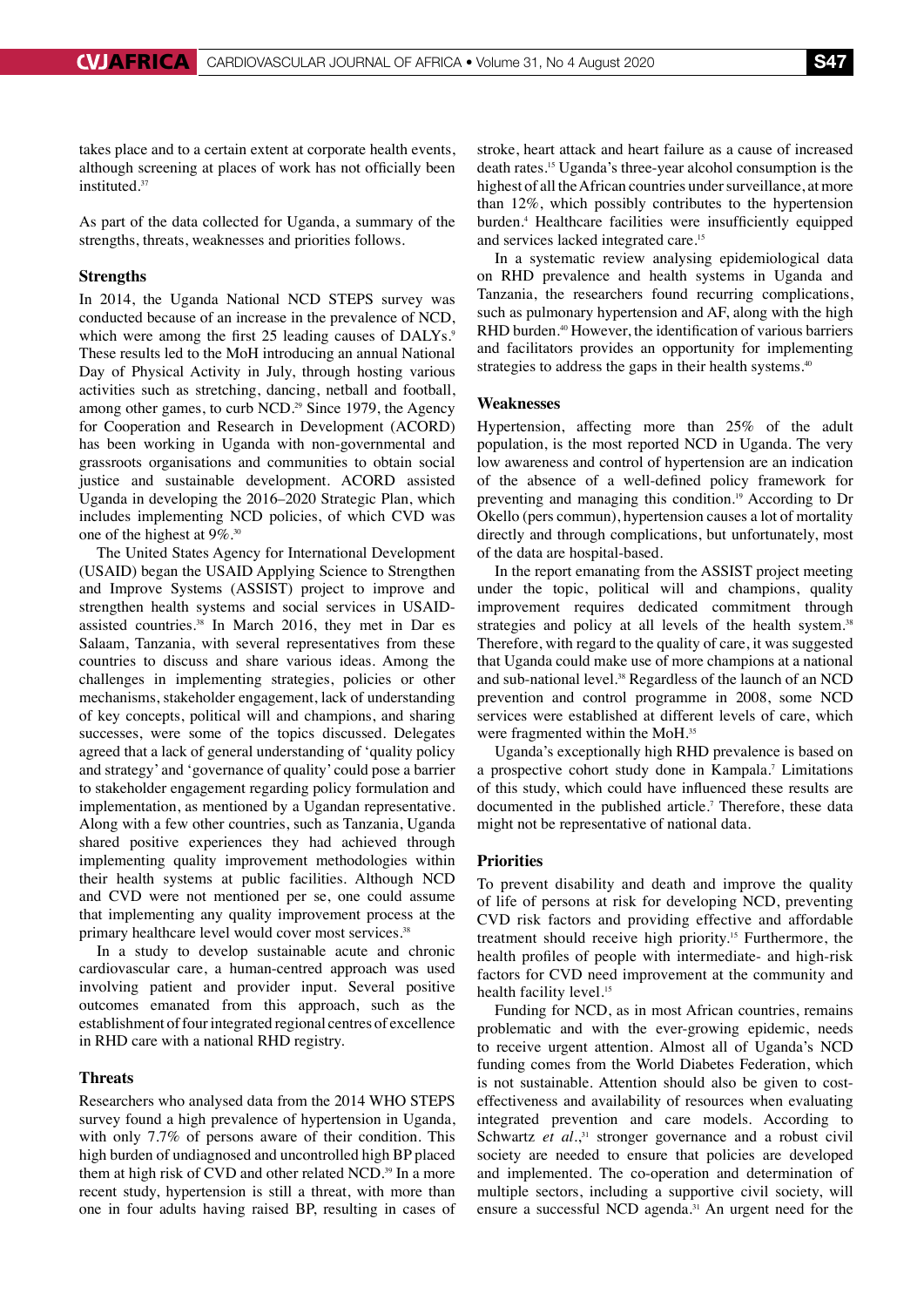takes place and to a certain extent at corporate health events, although screening at places of work has not officially been instituted.<sup>37</sup>

As part of the data collected for Uganda, a summary of the strengths, threats, weaknesses and priorities follows.

#### **Strengths**

In 2014, the Uganda National NCD STEPS survey was conducted because of an increase in the prevalence of NCD, which were among the first 25 leading causes of DALYs.<sup>9</sup> These results led to the MoH introducing an annual National Day of Physical Activity in July, through hosting various activities such as stretching, dancing, netball and football, among other games, to curb NCD.<sup>29</sup> Since 1979, the Agency for Cooperation and Research in Development (ACORD) has been working in Uganda with non-governmental and grassroots organisations and communities to obtain social justice and sustainable development. ACORD assisted Uganda in developing the 2016–2020 Strategic Plan, which includes implementing NCD policies, of which CVD was one of the highest at 9%.30

The United States Agency for International Development (USAID) began the USAID Applying Science to Strengthen and Improve Systems (ASSIST) project to improve and strengthen health systems and social services in USAIDassisted countries.<sup>38</sup> In March 2016, they met in Dar es Salaam, Tanzania, with several representatives from these countries to discuss and share various ideas. Among the challenges in implementing strategies, policies or other mechanisms, stakeholder engagement, lack of understanding of key concepts, political will and champions, and sharing successes, were some of the topics discussed. Delegates agreed that a lack of general understanding of 'quality policy and strategy' and 'governance of quality' could pose a barrier to stakeholder engagement regarding policy formulation and implementation, as mentioned by a Ugandan representative. Along with a few other countries, such as Tanzania, Uganda shared positive experiences they had achieved through implementing quality improvement methodologies within their health systems at public facilities. Although NCD and CVD were not mentioned per se, one could assume that implementing any quality improvement process at the primary healthcare level would cover most services.<sup>38</sup>

In a study to develop sustainable acute and chronic cardiovascular care, a human-centred approach was used involving patient and provider input. Several positive outcomes emanated from this approach, such as the establishment of four integrated regional centres of excellence in RHD care with a national RHD registry.

#### **Threats**

Researchers who analysed data from the 2014 WHO STEPS survey found a high prevalence of hypertension in Uganda, with only 7.7% of persons aware of their condition. This high burden of undiagnosed and uncontrolled high BP placed them at high risk of CVD and other related NCD.<sup>39</sup> In a more recent study, hypertension is still a threat, with more than one in four adults having raised BP, resulting in cases of stroke, heart attack and heart failure as a cause of increased death rates.15 Uganda's three-year alcohol consumption is the highest of all the African countries under surveillance, at more than 12%, which possibly contributes to the hypertension burden.4 Healthcare facilities were insufficiently equipped and services lacked integrated care.<sup>15</sup>

In a systematic review analysing epidemiological data on RHD prevalence and health systems in Uganda and Tanzania, the researchers found recurring complications, such as pulmonary hypertension and AF, along with the high RHD burden.<sup>40</sup> However, the identification of various barriers and facilitators provides an opportunity for implementing strategies to address the gaps in their health systems.<sup>40</sup>

#### **Weaknesses**

Hypertension, affecting more than 25% of the adult population, is the most reported NCD in Uganda. The very low awareness and control of hypertension are an indication of the absence of a well-defined policy framework for preventing and managing this condition.19 According to Dr Okello (pers commun), hypertension causes a lot of mortality directly and through complications, but unfortunately, most of the data are hospital-based.

In the report emanating from the ASSIST project meeting under the topic, political will and champions, quality improvement requires dedicated commitment through strategies and policy at all levels of the health system.<sup>38</sup> Therefore, with regard to the quality of care, it was suggested that Uganda could make use of more champions at a national and sub-national level.<sup>38</sup> Regardless of the launch of an NCD prevention and control programme in 2008, some NCD services were established at different levels of care, which were fragmented within the MoH.35

Uganda's exceptionally high RHD prevalence is based on a prospective cohort study done in Kampala.7 Limitations of this study, which could have influenced these results are documented in the published article.<sup>7</sup> Therefore, these data might not be representative of national data.

#### **Priorities**

To prevent disability and death and improve the quality of life of persons at risk for developing NCD, preventing CVD risk factors and providing effective and affordable treatment should receive high priority.15 Furthermore, the health profiles of people with intermediate- and high-risk factors for CVD need improvement at the community and health facility level.<sup>15</sup>

Funding for NCD, as in most African countries, remains problematic and with the ever-growing epidemic, needs to receive urgent attention. Almost all of Uganda's NCD funding comes from the World Diabetes Federation, which is not sustainable. Attention should also be given to costeffectiveness and availability of resources when evaluating integrated prevention and care models. According to Schwartz et al.,<sup>31</sup> stronger governance and a robust civil society are needed to ensure that policies are developed and implemented. The co-operation and determination of multiple sectors, including a supportive civil society, will ensure a successful NCD agenda.<sup>31</sup> An urgent need for the